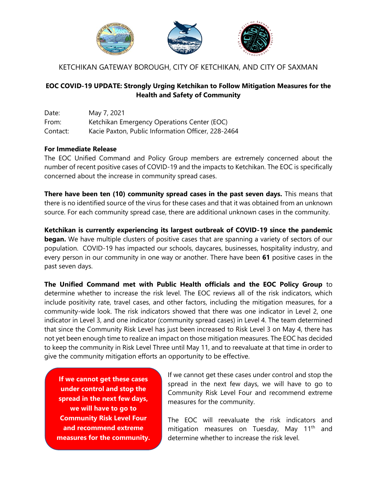

# KETCHIKAN GATEWAY BOROUGH, CITY OF KETCHIKAN, AND CITY OF SAXMAN

## **EOC COVID-19 UPDATE: Strongly Urging Ketchikan to Follow Mitigation Measures for the Health and Safety of Community**

| Date:    | May 7, 2021                                        |
|----------|----------------------------------------------------|
| From:    | Ketchikan Emergency Operations Center (EOC)        |
| Contact: | Kacie Paxton, Public Information Officer, 228-2464 |

### **For Immediate Release**

The EOC Unified Command and Policy Group members are extremely concerned about the number of recent positive cases of COVID-19 and the impacts to Ketchikan. The EOC is specifically concerned about the increase in community spread cases.

**There have been ten (10) community spread cases in the past seven days.** This means that there is no identified source of the virus for these cases and that it was obtained from an unknown source. For each community spread case, there are additional unknown cases in the community.

**Ketchikan is currently experiencing its largest outbreak of COVID-19 since the pandemic began.** We have multiple clusters of positive cases that are spanning a variety of sectors of our population. COVID-19 has impacted our schools, daycares, businesses, hospitality industry, and every person in our community in one way or another. There have been **61** positive cases in the past seven days.

**The Unified Command met with Public Health officials and the EOC Policy Group** to determine whether to increase the risk level. The EOC reviews all of the risk indicators, which include positivity rate, travel cases, and other factors, including the mitigation measures, for a community-wide look. The risk indicators showed that there was one indicator in Level 2, one indicator in Level 3, and one indicator (community spread cases) in Level 4. The team determined that since the Community Risk Level has just been increased to Risk Level 3 on May 4, there has not yet been enough time to realize an impact on those mitigation measures. The EOC has decided to keep the community in Risk Level Three until May 11, and to reevaluate at that time in order to give the community mitigation efforts an opportunity to be effective.

**If we cannot get these cases under control and stop the spread in the next few days, we will have to go to Community Risk Level Four and recommend extreme measures for the community.** If we cannot get these cases under control and stop the spread in the next few days, we will have to go to Community Risk Level Four and recommend extreme measures for the community.

The EOC will reevaluate the risk indicators and mitigation measures on Tuesday, May 11<sup>th</sup> and determine whether to increase the risk level.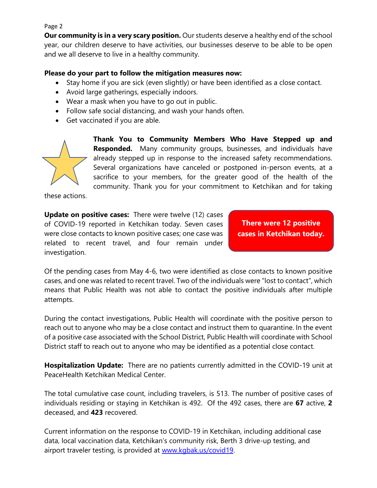#### Page 2

**Our community is in a very scary position.** Our students deserve a healthy end of the school year, our children deserve to have activities, our businesses deserve to be able to be open and we all deserve to live in a healthy community.

### **Please do your part to follow the mitigation measures now:**

- Stay home if you are sick (even slightly) or have been identified as a close contact.
- Avoid large gatherings, especially indoors.
- Wear a mask when you have to go out in public.
- Follow safe social distancing, and wash your hands often.
- Get vaccinated if you are able.



**Thank You to Community Members Who Have Stepped up and Responded.** Many community groups, businesses, and individuals have already stepped up in response to the increased safety recommendations. Several organizations have canceled or postponed in-person events, at a sacrifice to your members, for the greater good of the health of the community. Thank you for your commitment to Ketchikan and for taking

these actions.

**Update on positive cases:** There were twelve (12) cases of COVID-19 reported in Ketchikan today. Seven cases were close contacts to known positive cases; one case was related to recent travel, and four remain under investigation.

**There were 12 positive cases in Ketchikan today.**

Of the pending cases from May 4-6, two were identified as close contacts to known positive cases, and one was related to recent travel. Two of the individuals were "lost to contact", which means that Public Health was not able to contact the positive individuals after multiple attempts.

During the contact investigations, Public Health will coordinate with the positive person to reach out to anyone who may be a close contact and instruct them to quarantine. In the event of a positive case associated with the School District, Public Health will coordinate with School District staff to reach out to anyone who may be identified as a potential close contact.

**Hospitalization Update:** There are no patients currently admitted in the COVID-19 unit at PeaceHealth Ketchikan Medical Center.

The total cumulative case count, including travelers, is 513. The number of positive cases of individuals residing or staying in Ketchikan is 492. Of the 492 cases, there are **67** active, **2**  deceased, and **423** recovered.

Current information on the response to COVID-19 in Ketchikan, including additional case data, local vaccination data, Ketchikan's community risk, Berth 3 drive-up testing, and airport traveler testing, is provided at www.kqbak.us/covid19.